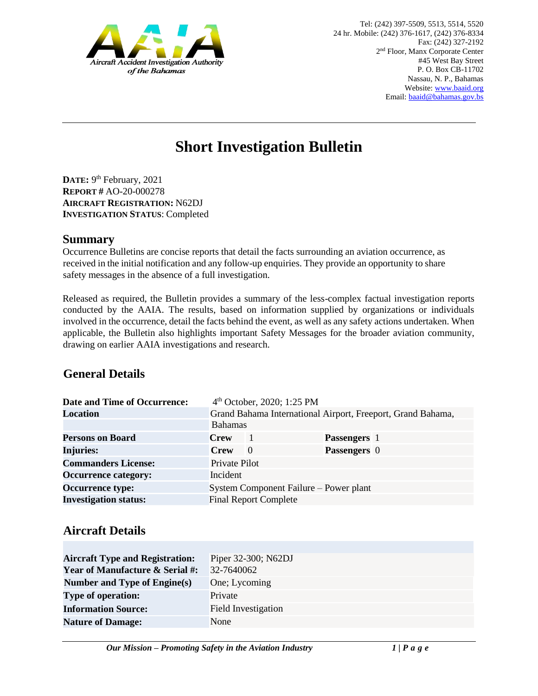

# **Short Investigation Bulletin**

DATE: 9<sup>th</sup> February, 2021 **REPORT #** AO-20-000278 **AIRCRAFT REGISTRATION:** N62DJ **INVESTIGATION STATUS**: Completed

#### **Summary**

Occurrence Bulletins are concise reports that detail the facts surrounding an aviation occurrence, as received in the initial notification and any follow-up enquiries. They provide an opportunity to share safety messages in the absence of a full investigation*.* 

Released as required, the Bulletin provides a summary of the less-complex factual investigation reports conducted by the AAIA. The results, based on information supplied by organizations or individuals involved in the occurrence, detail the facts behind the event, as well as any safety actions undertaken. When applicable, the Bulletin also highlights important Safety Messages for the broader aviation community, drawing on earlier AAIA investigations and research.

## **General Details**

| Date and Time of Occurrence: |                                                             | 4 <sup>th</sup> October, 2020; 1:25 PM |                     |  |
|------------------------------|-------------------------------------------------------------|----------------------------------------|---------------------|--|
| <b>Location</b>              | Grand Bahama International Airport, Freeport, Grand Bahama, |                                        |                     |  |
|                              | <b>Bahamas</b>                                              |                                        |                     |  |
| <b>Persons on Board</b>      | <b>Crew</b>                                                 | -1                                     | <b>Passengers</b> 1 |  |
| <b>Injuries:</b>             | <b>Crew</b>                                                 | $\Omega$                               | <b>Passengers</b> 0 |  |
| <b>Commanders License:</b>   | Private Pilot                                               |                                        |                     |  |
| <b>Occurrence category:</b>  | Incident                                                    |                                        |                     |  |
| <b>Occurrence type:</b>      | System Component Failure – Power plant                      |                                        |                     |  |
| <b>Investigation status:</b> | <b>Final Report Complete</b>                                |                                        |                     |  |

## **Aircraft Details**

| <b>Aircraft Type and Registration:</b>     | Piper 32-300; N62DJ        |
|--------------------------------------------|----------------------------|
| <b>Year of Manufacture &amp; Serial #:</b> | 32-7640062                 |
| Number and Type of Engine(s)               | One; Lycoming              |
| <b>Type of operation:</b>                  | Private                    |
| <b>Information Source:</b>                 | <b>Field Investigation</b> |
| <b>Nature of Damage:</b>                   | None                       |